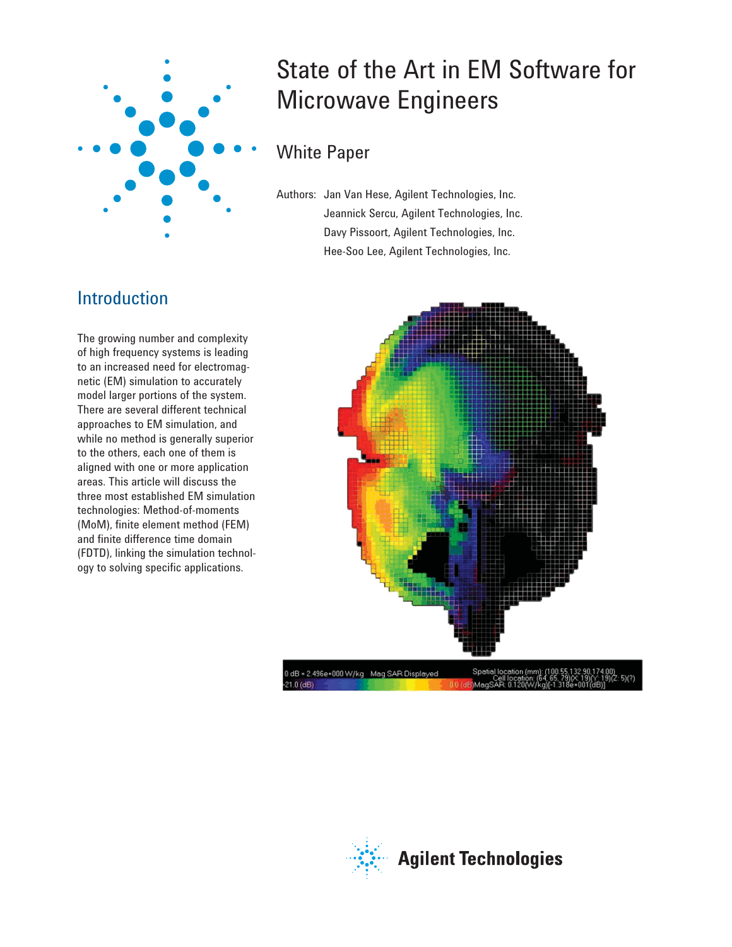

# State of the Art in EM Software for Microwave Engineers

# White Paper

Authors: Jan Van Hese, Agilent Technologies, Inc. Jeannick Sercu, Agilent Technologies, Inc. Davy Pissoort, Agilent Technologies, Inc. Hee-Soo Lee, Agilent Technologies, Inc.

# Introduction

The growing number and complexity of high frequency systems is leading to an increased need for electromagnetic (EM) simulation to accurately model larger portions of the system. There are several different technical approaches to EM simulation, and while no method is generally superior to the others, each one of them is aligned with one or more application areas. This article will discuss the three most established EM simulation technologies: Method-of-moments (MoM), finite element method (FEM) and finite difference time domain (FDTD), linking the simulation technology to solving specific applications.



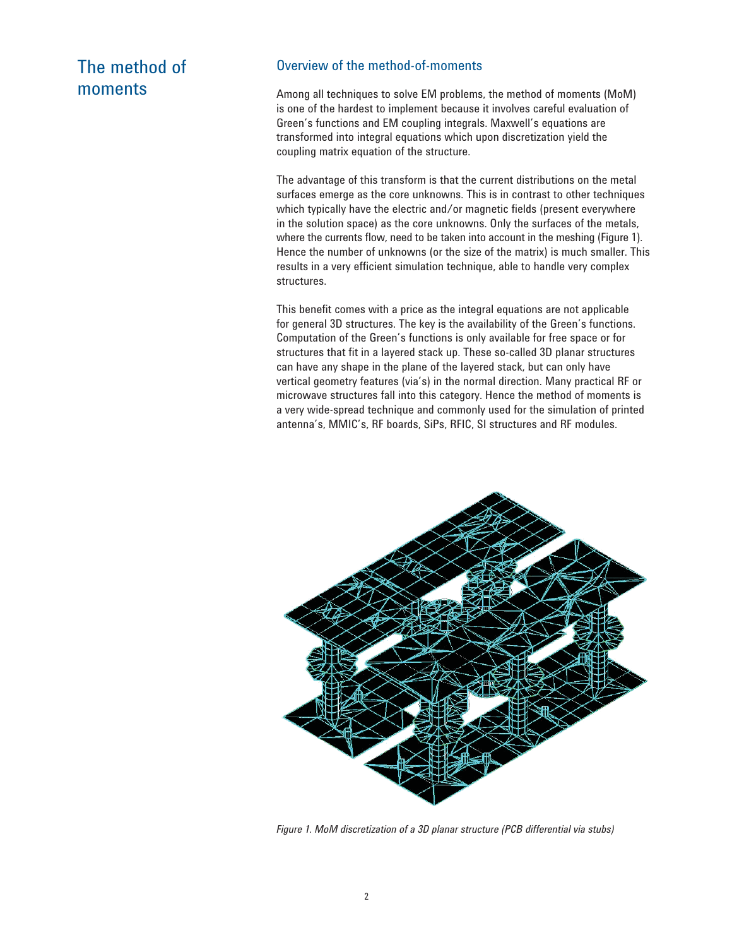# The method of moments

#### Overview of the method-of-moments

Among all techniques to solve EM problems, the method of moments (MoM) is one of the hardest to implement because it involves careful evaluation of Green's functions and EM coupling integrals. Maxwell's equations are transformed into integral equations which upon discretization yield the coupling matrix equation of the structure.

The advantage of this transform is that the current distributions on the metal surfaces emerge as the core unknowns. This is in contrast to other techniques which typically have the electric and/or magnetic fields (present everywhere in the solution space) as the core unknowns. Only the surfaces of the metals, where the currents flow, need to be taken into account in the meshing (Figure 1). Hence the number of unknowns (or the size of the matrix) is much smaller. This results in a very efficient simulation technique, able to handle very complex structures.

This benefit comes with a price as the integral equations are not applicable for general 3D structures. The key is the availability of the Green's functions. Computation of the Green's functions is only available for free space or for structures that fit in a layered stack up. These so-called 3D planar structures can have any shape in the plane of the layered stack, but can only have vertical geometry features (via's) in the normal direction. Many practical RF or microwave structures fall into this category. Hence the method of moments is a very wide-spread technique and commonly used for the simulation of printed antenna's, MMIC's, RF boards, SiPs, RFIC, SI structures and RF modules.



*Figure 1. MoM discretization of a 3D planar structure (PCB differential via stubs)*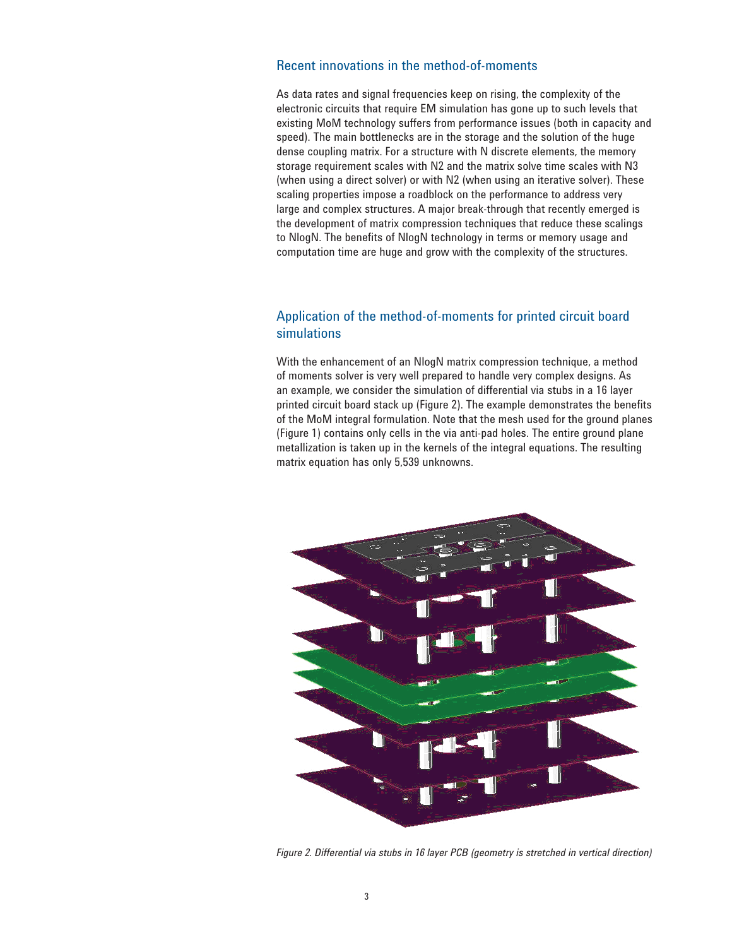#### Recent innovations in the method-of-moments

As data rates and signal frequencies keep on rising, the complexity of the electronic circuits that require EM simulation has gone up to such levels that existing MoM technology suffers from performance issues (both in capacity and speed). The main bottlenecks are in the storage and the solution of the huge dense coupling matrix. For a structure with N discrete elements, the memory storage requirement scales with N2 and the matrix solve time scales with N3 (when using a direct solver) or with N2 (when using an iterative solver). These scaling properties impose a roadblock on the performance to address very large and complex structures. A major break-through that recently emerged is the development of matrix compression techniques that reduce these scalings to NlogN. The benefits of NlogN technology in terms or memory usage and computation time are huge and grow with the complexity of the structures.

### Application of the method-of-moments for printed circuit board simulations

With the enhancement of an NlogN matrix compression technique, a method of moments solver is very well prepared to handle very complex designs. As an example, we consider the simulation of differential via stubs in a 16 layer printed circuit board stack up (Figure 2). The example demonstrates the benefits of the MoM integral formulation. Note that the mesh used for the ground planes (Figure 1) contains only cells in the via anti-pad holes. The entire ground plane metallization is taken up in the kernels of the integral equations. The resulting matrix equation has only 5,539 unknowns.



*Figure 2. Differential via stubs in 16 layer PCB (geometry is stretched in vertical direction)*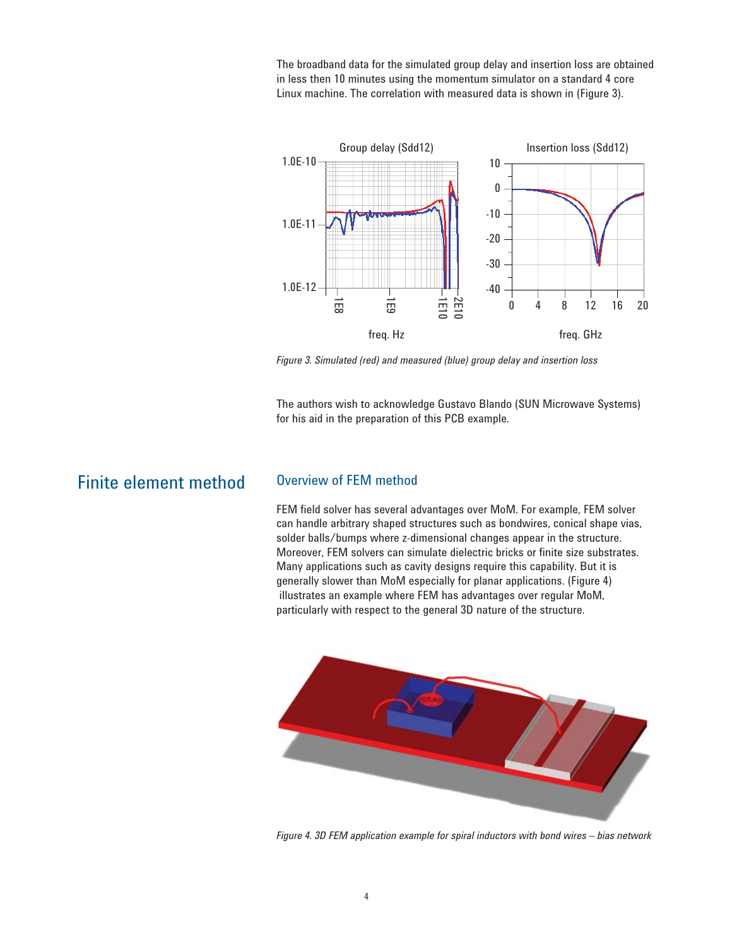The broadband data for the simulated group delay and insertion loss are obtained in less then 10 minutes using the momentum simulator on a standard 4 core Linux machine. The correlation with measured data is shown in (Figure 3).



*Figure 3. Simulated (red) and measured (blue) group delay and insertion loss*

The authors wish to acknowledge Gustavo Blando (SUN Microwave Systems) for his aid in the preparation of this PCB example.

# Finite element method Overview of FEM method

FEM field solver has several advantages over MoM. For example, FEM solver can handle arbitrary shaped structures such as bondwires, conical shape vias, solder balls/bumps where z-dimensional changes appear in the structure. Moreover, FEM solvers can simulate dielectric bricks or finite size substrates. Many applications such as cavity designs require this capability. But it is generally slower than MoM especially for planar applications. (Figure 4) illustrates an example where FEM has advantages over regular MoM, particularly with respect to the general 3D nature of the structure.



*Figure 4. 3D FEM application example for spiral inductors with bond wires – bias network*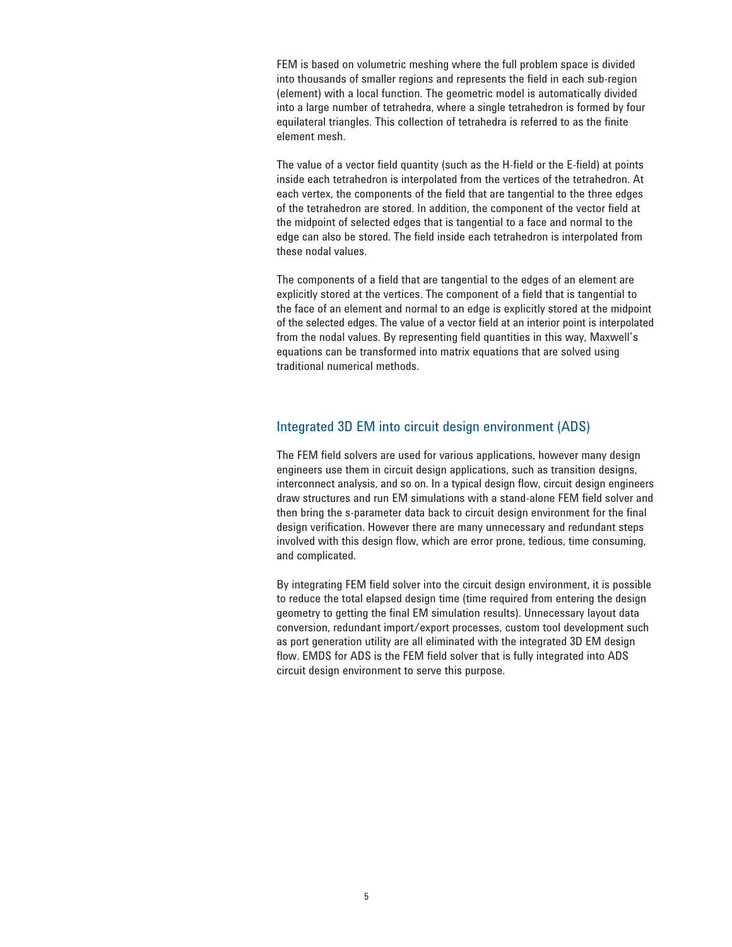FEM is based on volumetric meshing where the full problem space is divided into thousands of smaller regions and represents the field in each sub-region (element) with a local function. The geometric model is automatically divided into a large number of tetrahedra, where a single tetrahedron is formed by four equilateral triangles. This collection of tetrahedra is referred to as the finite element mesh.

The value of a vector field quantity (such as the H-field or the E-field) at points inside each tetrahedron is interpolated from the vertices of the tetrahedron. At each vertex, the components of the field that are tangential to the three edges of the tetrahedron are stored. In addition, the component of the vector field at the midpoint of selected edges that is tangential to a face and normal to the edge can also be stored. The field inside each tetrahedron is interpolated from these nodal values.

The components of a field that are tangential to the edges of an element are explicitly stored at the vertices. The component of a field that is tangential to the face of an element and normal to an edge is explicitly stored at the midpoint of the selected edges. The value of a vector field at an interior point is interpolated from the nodal values. By representing field quantities in this way, Maxwell's equations can be transformed into matrix equations that are solved using traditional numerical methods.

### Integrated 3D EM into circuit design environment (ADS)

The FEM field solvers are used for various applications, however many design engineers use them in circuit design applications, such as transition designs, interconnect analysis, and so on. In a typical design flow, circuit design engineers draw structures and run EM simulations with a stand-alone FEM field solver and then bring the s-parameter data back to circuit design environment for the final design verification. However there are many unnecessary and redundant steps involved with this design flow, which are error prone, tedious, time consuming, and complicated.

By integrating FEM field solver into the circuit design environment, it is possible to reduce the total elapsed design time (time required from entering the design geometry to getting the final EM simulation results). Unnecessary layout data conversion, redundant import/export processes, custom tool development such as port generation utility are all eliminated with the integrated 3D EM design flow. EMDS for ADS is the FEM field solver that is fully integrated into ADS circuit design environment to serve this purpose.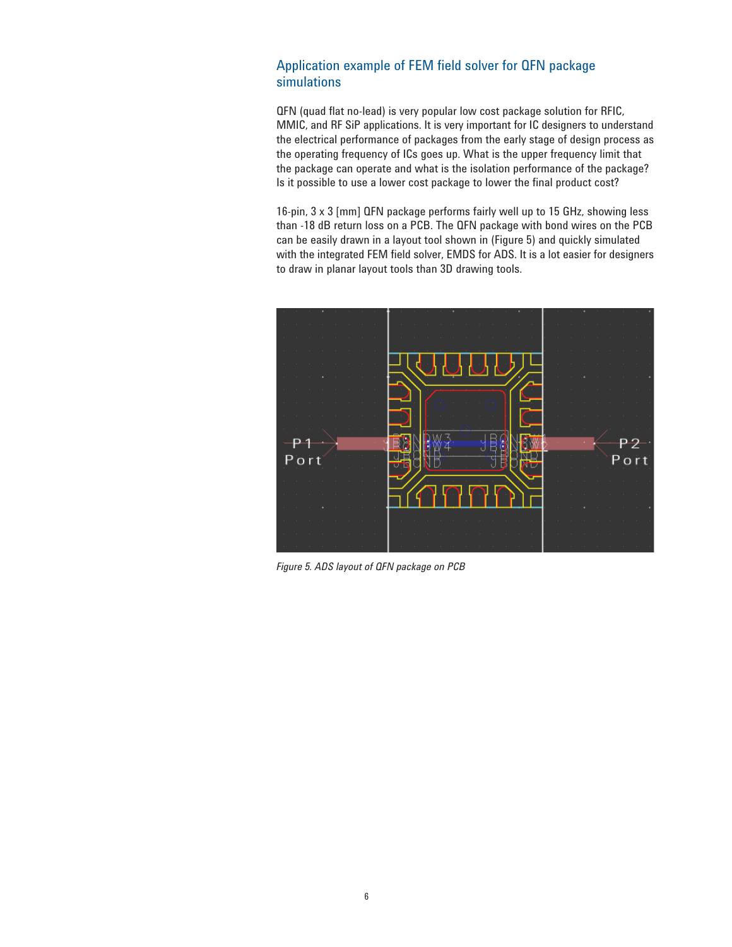### Application example of FEM field solver for QFN package simulations

QFN (quad flat no-lead) is very popular low cost package solution for RFIC, MMIC, and RF SiP applications. It is very important for IC designers to understand the electrical performance of packages from the early stage of design process as the operating frequency of ICs goes up. What is the upper frequency limit that the package can operate and what is the isolation performance of the package? Is it possible to use a lower cost package to lower the final product cost?

16-pin, 3 x 3 [mm] QFN package performs fairly well up to 15 GHz, showing less than -18 dB return loss on a PCB. The QFN package with bond wires on the PCB can be easily drawn in a layout tool shown in (Figure 5) and quickly simulated with the integrated FEM field solver, EMDS for ADS. It is a lot easier for designers to draw in planar layout tools than 3D drawing tools.



*Figure 5. ADS layout of QFN package on PCB*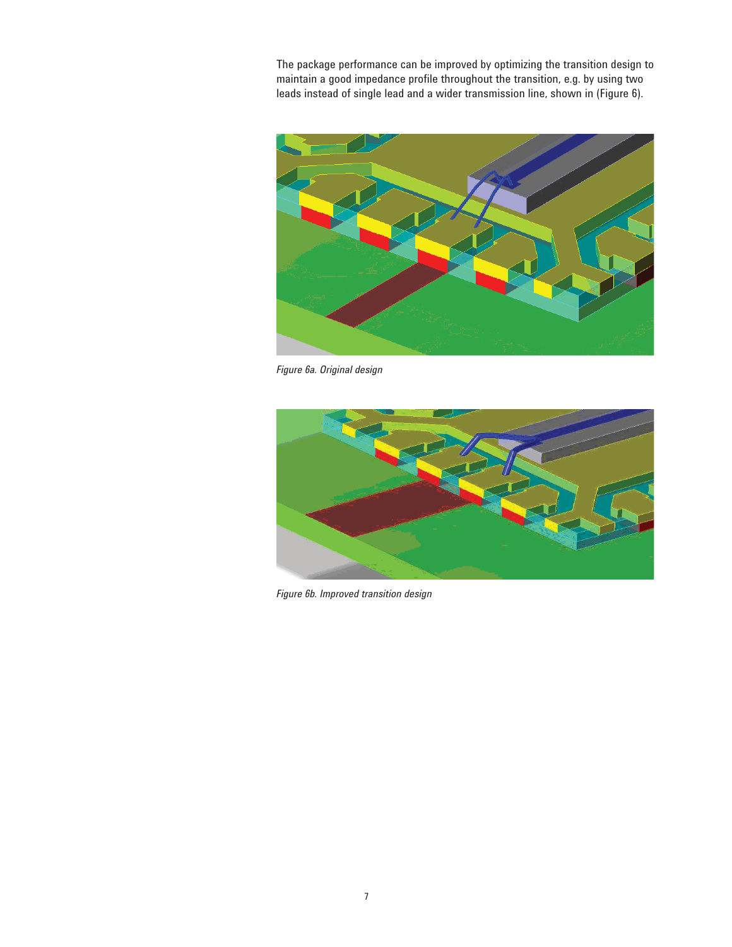The package performance can be improved by optimizing the transition design to maintain a good impedance profile throughout the transition, e.g. by using two leads instead of single lead and a wider transmission line, shown in (Figure 6).



*Figure 6a. Original design*



*Figure 6b. Improved transition design*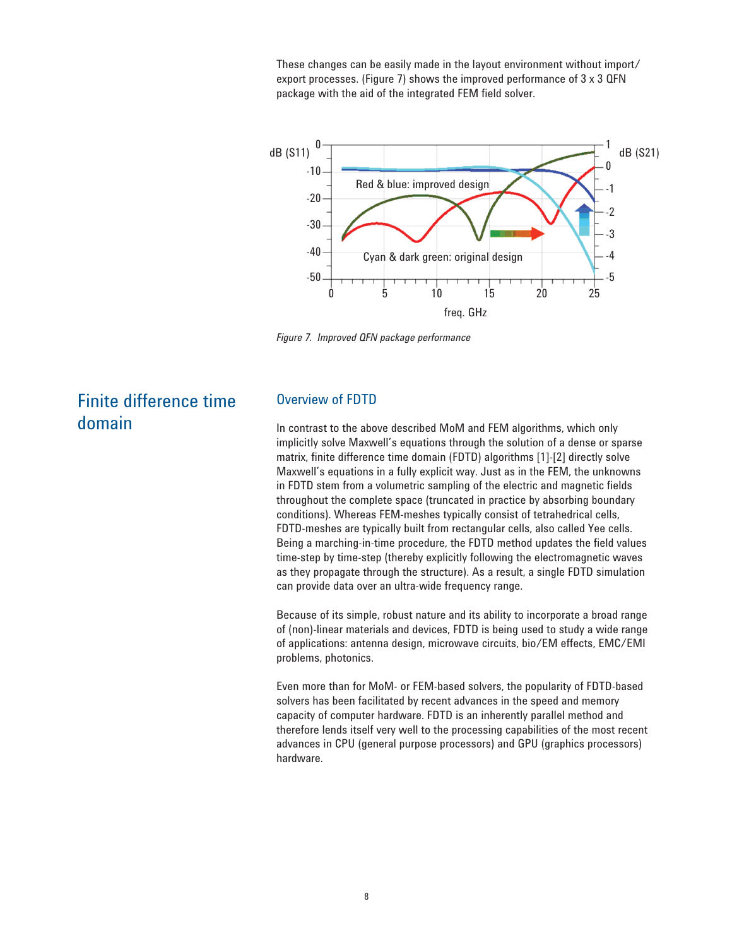These changes can be easily made in the layout environment without import/ export processes. (Figure 7) shows the improved performance of 3 x 3 QFN package with the aid of the integrated FEM field solver.



*Figure 7. Improved QFN package performance*

# Finite difference time domain

#### Overview of FDTD

In contrast to the above described MoM and FEM algorithms, which only implicitly solve Maxwell's equations through the solution of a dense or sparse matrix, finite difference time domain (FDTD) algorithms [1]-[2] directly solve Maxwell's equations in a fully explicit way. Just as in the FEM, the unknowns in FDTD stem from a volumetric sampling of the electric and magnetic fields throughout the complete space (truncated in practice by absorbing boundary conditions). Whereas FEM-meshes typically consist of tetrahedrical cells, FDTD-meshes are typically built from rectangular cells, also called Yee cells. Being a marching-in-time procedure, the FDTD method updates the field values time-step by time-step (thereby explicitly following the electromagnetic waves as they propagate through the structure). As a result, a single FDTD simulation can provide data over an ultra-wide frequency range.

Because of its simple, robust nature and its ability to incorporate a broad range of (non)-linear materials and devices, FDTD is being used to study a wide range of applications: antenna design, microwave circuits, bio/EM effects, EMC/EMI problems, photonics.

Even more than for MoM- or FEM-based solvers, the popularity of FDTD-based solvers has been facilitated by recent advances in the speed and memory capacity of computer hardware. FDTD is an inherently parallel method and therefore lends itself very well to the processing capabilities of the most recent advances in CPU (general purpose processors) and GPU (graphics processors) hardware.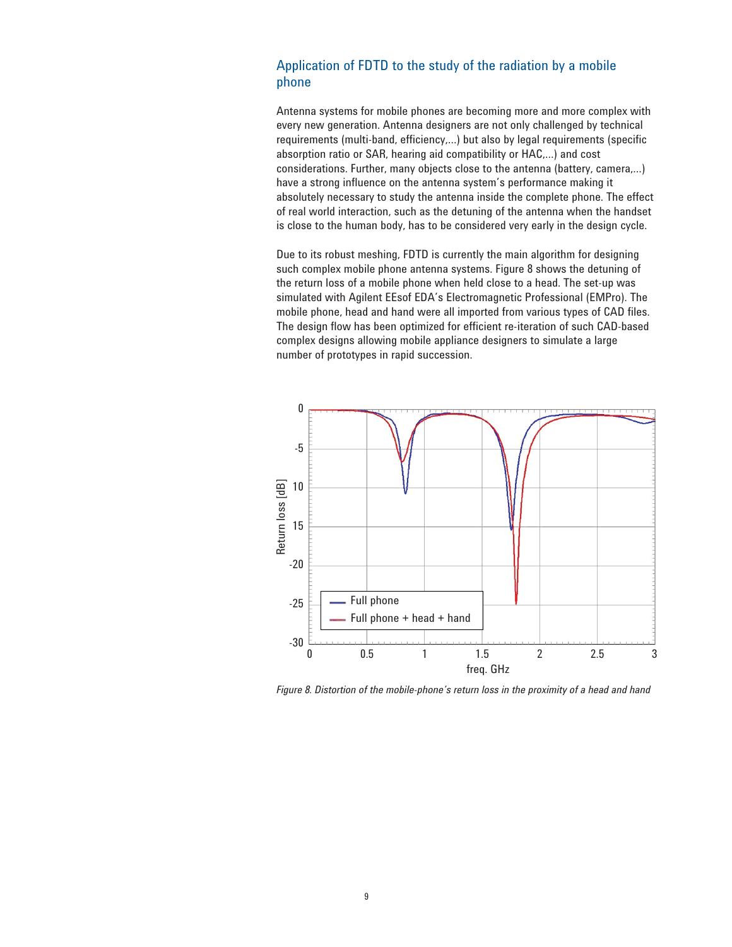### Application of FDTD to the study of the radiation by a mobile phone

Antenna systems for mobile phones are becoming more and more complex with every new generation. Antenna designers are not only challenged by technical requirements (multi-band, efficiency,...) but also by legal requirements (specific absorption ratio or SAR, hearing aid compatibility or HAC,…) and cost considerations. Further, many objects close to the antenna (battery, camera,…) have a strong influence on the antenna system's performance making it absolutely necessary to study the antenna inside the complete phone. The effect of real world interaction, such as the detuning of the antenna when the handset is close to the human body, has to be considered very early in the design cycle.

Due to its robust meshing, FDTD is currently the main algorithm for designing such complex mobile phone antenna systems. Figure 8 shows the detuning of the return loss of a mobile phone when held close to a head. The set-up was simulated with Agilent EEsof EDA's Electromagnetic Professional (EMPro). The mobile phone, head and hand were all imported from various types of CAD files. The design flow has been optimized for efficient re-iteration of such CAD-based complex designs allowing mobile appliance designers to simulate a large number of prototypes in rapid succession.

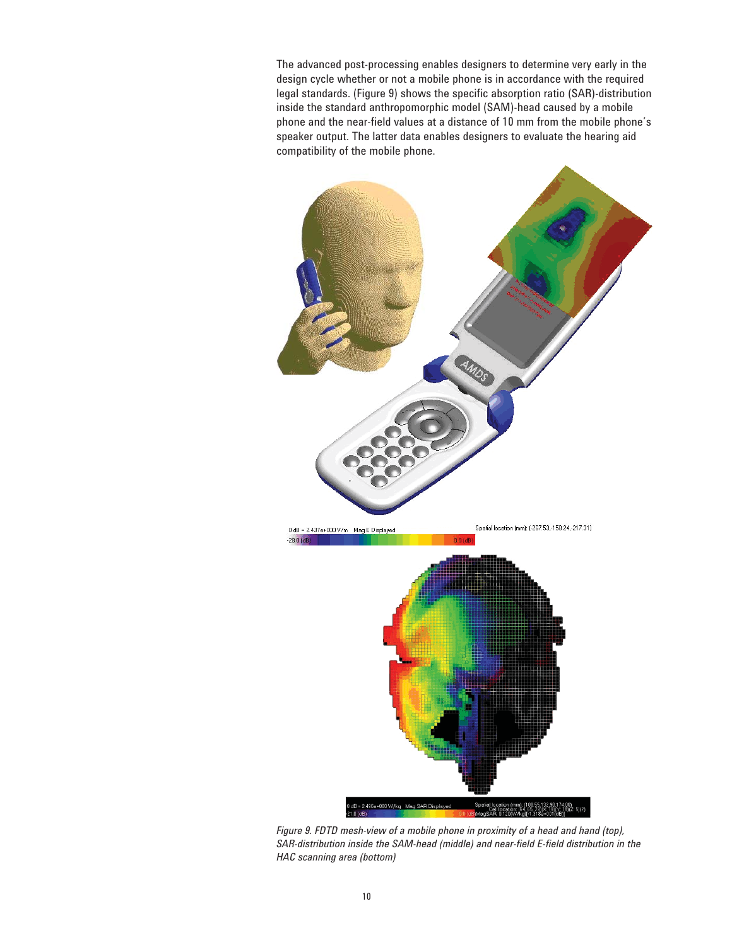The advanced post-processing enables designers to determine very early in the design cycle whether or not a mobile phone is in accordance with the required legal standards. (Figure 9) shows the specific absorption ratio (SAR)-distribution inside the standard anthropomorphic model (SAM)-head caused by a mobile phone and the near-field values at a distance of 10 mm from the mobile phone's speaker output. The latter data enables designers to evaluate the hearing aid compatibility of the mobile phone.



*Figure 9. FDTD mesh-view of a mobile phone in proximity of a head and hand (top),* SAR-distribution inside the SAM-head (middle) and near-field E-field distribution in the *HAC scanning area (bottom)*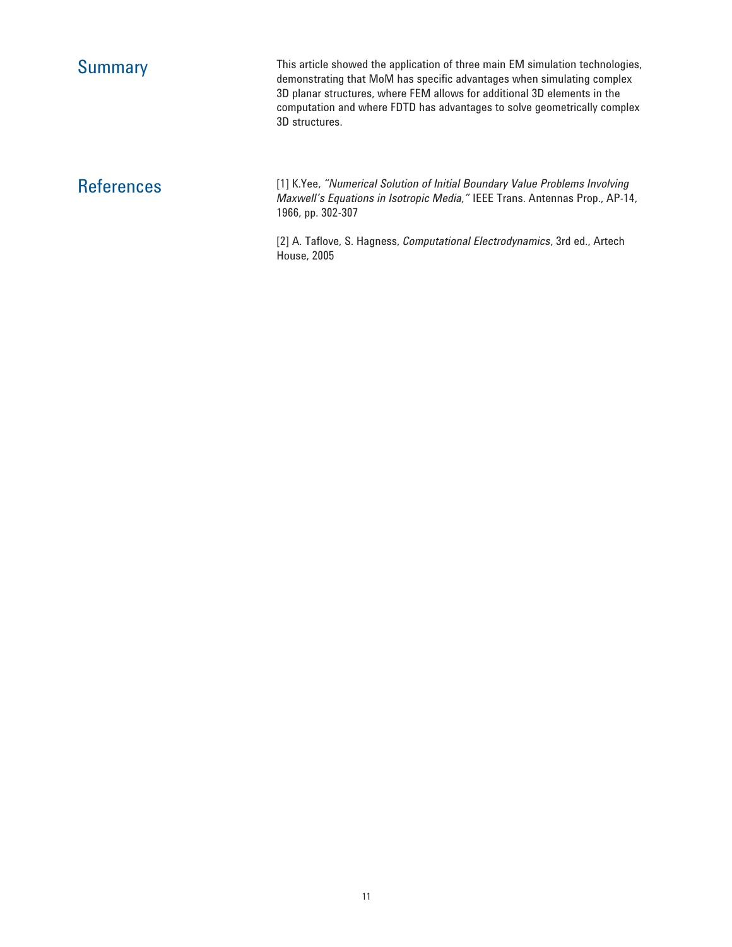Summary This article showed the application of three main EM simulation technologies, demonstrating that MoM has specific advantages when simulating complex 3D planar structures, where FEM allows for additional 3D elements in the computation and where FDTD has advantages to solve geometrically complex 3D structures.

References [1] K.Yee, *"Numerical Solution of Initial Boundary Value Problems Involving Maxwell's Equations in Isotropic Media,"* IEEE Trans. Antennas Prop., AP-14, 1966, pp. 302-307

> [2] A. Tafl ove, S. Hagness, *Computational Electrodynamics*, 3rd ed., Artech House, 2005